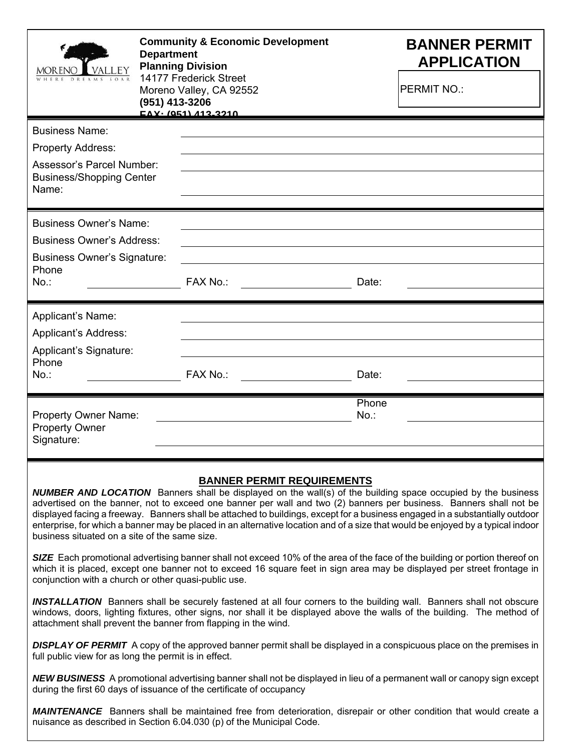| VALLEY                                                                                                                      | <b>Community &amp; Economic Development</b><br><b>Department</b><br><b>Planning Division</b><br>14177 Frederick Street<br>Moreno Valley, CA 92552<br>(951) 413-3206<br><b>EAY</b> - (051) 413-3210 |                                                                      | <b>BANNER PERMIT</b><br><b>APPLICATION</b> |                                                                                                                                                                                                                                                                                                                                                                                                                                                                                                              |
|-----------------------------------------------------------------------------------------------------------------------------|----------------------------------------------------------------------------------------------------------------------------------------------------------------------------------------------------|----------------------------------------------------------------------|--------------------------------------------|--------------------------------------------------------------------------------------------------------------------------------------------------------------------------------------------------------------------------------------------------------------------------------------------------------------------------------------------------------------------------------------------------------------------------------------------------------------------------------------------------------------|
|                                                                                                                             |                                                                                                                                                                                                    |                                                                      |                                            | <b>PERMIT NO.:</b>                                                                                                                                                                                                                                                                                                                                                                                                                                                                                           |
| <b>Business Name:</b>                                                                                                       |                                                                                                                                                                                                    |                                                                      |                                            |                                                                                                                                                                                                                                                                                                                                                                                                                                                                                                              |
| <b>Property Address:</b><br>Assessor's Parcel Number:<br><b>Business/Shopping Center</b><br>Name:                           |                                                                                                                                                                                                    |                                                                      |                                            |                                                                                                                                                                                                                                                                                                                                                                                                                                                                                                              |
| <b>Business Owner's Name:</b><br><b>Business Owner's Address:</b><br><b>Business Owner's Signature:</b><br>Phone<br>$No.$ : |                                                                                                                                                                                                    | FAX No.:                                                             | Date:                                      |                                                                                                                                                                                                                                                                                                                                                                                                                                                                                                              |
| Applicant's Name:<br>Applicant's Address:<br>Applicant's Signature:                                                         |                                                                                                                                                                                                    |                                                                      |                                            |                                                                                                                                                                                                                                                                                                                                                                                                                                                                                                              |
| Phone<br>$No.$ :                                                                                                            |                                                                                                                                                                                                    | <b>FAX No.:</b>                                                      | Date:                                      |                                                                                                                                                                                                                                                                                                                                                                                                                                                                                                              |
| <b>Property Owner Name:</b><br><b>Property Owner</b><br>Signature:                                                          |                                                                                                                                                                                                    |                                                                      | Phone<br>$No.$ :                           |                                                                                                                                                                                                                                                                                                                                                                                                                                                                                                              |
| business situated on a site of the same size.                                                                               |                                                                                                                                                                                                    | <b>BANNER PERMIT REQUIREMENTS</b>                                    |                                            | <b>NUMBER AND LOCATION</b> Banners shall be displayed on the wall(s) of the building space occupied by the business<br>advertised on the banner, not to exceed one banner per wall and two (2) banners per business. Banners shall not be<br>displayed facing a freeway. Banners shall be attached to buildings, except for a business engaged in a substantially outdoor<br>enterprise, for which a banner may be placed in an alternative location and of a size that would be enjoyed by a typical indoor |
| conjunction with a church or other quasi-public use.                                                                        |                                                                                                                                                                                                    |                                                                      |                                            | SIZE Each promotional advertising banner shall not exceed 10% of the area of the face of the building or portion thereof on<br>which it is placed, except one banner not to exceed 16 square feet in sign area may be displayed per street frontage in                                                                                                                                                                                                                                                       |
|                                                                                                                             |                                                                                                                                                                                                    | attachment shall prevent the banner from flapping in the wind.       |                                            | <b>INSTALLATION</b> Banners shall be securely fastened at all four corners to the building wall. Banners shall not obscure<br>windows, doors, lighting fixtures, other signs, nor shall it be displayed above the walls of the building. The method of                                                                                                                                                                                                                                                       |
| full public view for as long the permit is in effect.                                                                       |                                                                                                                                                                                                    |                                                                      |                                            | <b>DISPLAY OF PERMIT</b> A copy of the approved banner permit shall be displayed in a conspicuous place on the premises in                                                                                                                                                                                                                                                                                                                                                                                   |
|                                                                                                                             |                                                                                                                                                                                                    | during the first 60 days of issuance of the certificate of occupancy |                                            | <b>NEW BUSINESS</b> A promotional advertising banner shall not be displayed in lieu of a permanent wall or canopy sign except                                                                                                                                                                                                                                                                                                                                                                                |
|                                                                                                                             |                                                                                                                                                                                                    | nuisance as described in Section 6.04.030 (p) of the Municipal Code. |                                            | <b>MAINTENANCE</b> Banners shall be maintained free from deterioration, disrepair or other condition that would create a                                                                                                                                                                                                                                                                                                                                                                                     |